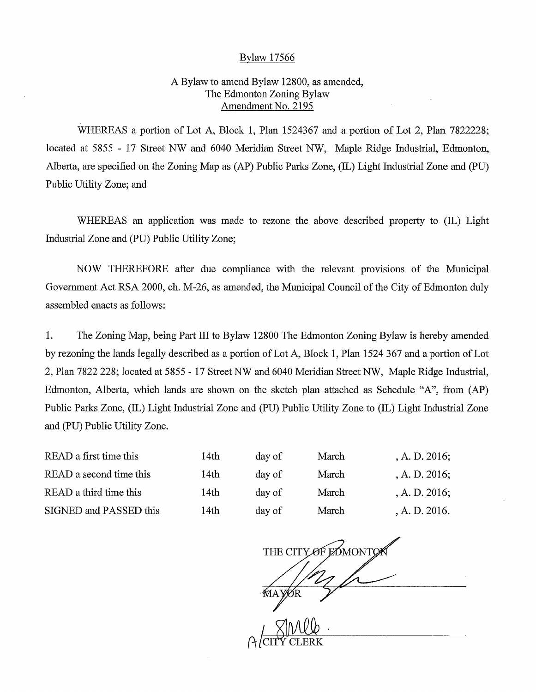## Bylaw 17566

## A Bylaw to amend Bylaw 12800, as amended, The Edmonton Zoning Bylaw Amendment No. 2195

WHEREAS a portion of Lot A, Block 1, Plan 1524367 and a portion of Lot 2, Plan 7822228; located at 5855 - 17 Street NW and 6040 Meridian Street NW, Maple Ridge Industrial, Edmonton, Alberta, are specified on the Zoning Map as (AP) Public Parks Zone, (IL) Light Industrial Zone and (PU) Public Utility Zone; and

WHEREAS an application was made to rezone the above described property to (IL) Light Industrial Zone and (PU) Public Utility Zone;

NOW THEREFORE after due compliance with the relevant provisions of the Municipal Government Act RSA 2000, ch. M-26, as amended, the Municipal Council of the City of Edmonton duly assembled enacts as follows:

1. The Zoning Map, being Part III to Bylaw 12800 The Edmonton Zoning Bylaw is hereby amended by rezoning the lands legally described as a portion of Lot A, Block 1, Plan 1524 367 and a portion of Lot 2, Plan 7822 228; located at 5855 - 17 Street NW and 6040 Meridian Street NW, Maple Ridge Industrial, Edmonton, Alberta, which lands are shown on the sketch plan attached as Schedule "A", from (AP) Public Parks Zone, (IL) Light Industrial Zone and (PU) Public Utility Zone to (IL) Light Industrial Zone and (PU) Public Utility Zone.

| READ a first time this  | 14th | day of | March | , A. D. $2016$ ; |
|-------------------------|------|--------|-------|------------------|
| READ a second time this | 14th | day of | March | A. D. 2016;      |
| READ a third time this  | 14th | day of | March | A. D. 2016;      |
| SIGNED and PASSED this  | 14th | day of | March | A. D. 2016.      |

THE CITY OF EDMONTO MAYØR  $Zmllb$ A *(*CITY CLERK